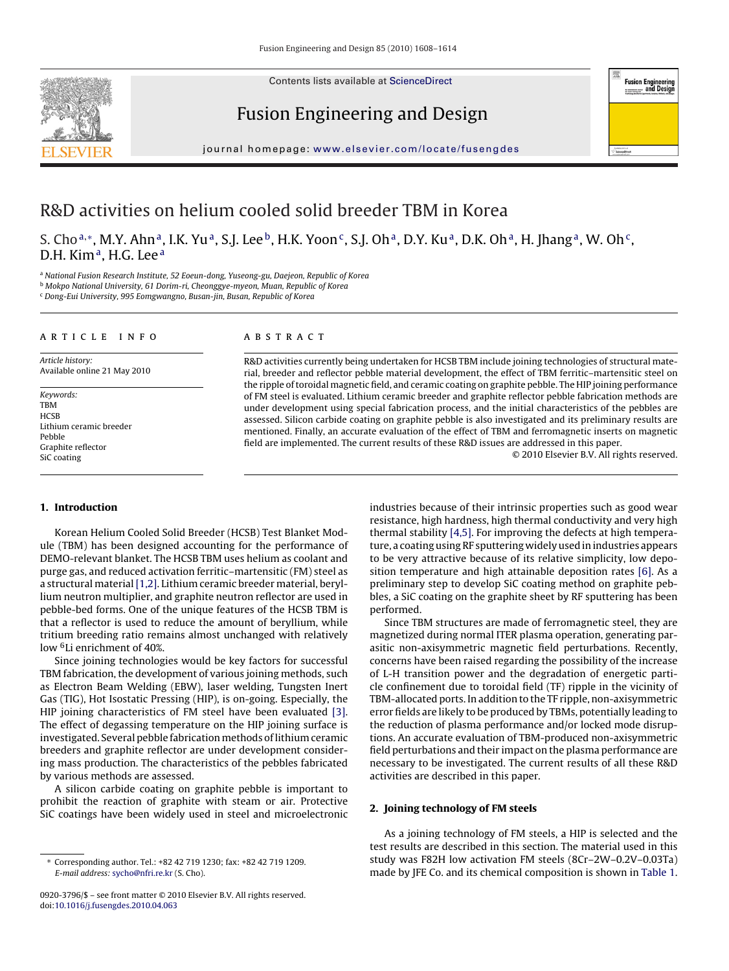Contents lists available at [ScienceDirect](http://www.sciencedirect.com/science/journal/09203796)







journal homepage: [www.elsevier.com/locate/fusengdes](http://www.elsevier.com/locate/fusengdes)

## R&D activities on helium cooled solid breeder TBM in Korea

S. Cho<sup>a,\*</sup>, M.Y. Ahn<sup>a</sup>, I.K. Yu<sup>a</sup>, S.J. Lee<sup>b</sup>, H.K. Yoon<sup>c</sup>, S.J. Oh<sup>a</sup>, D.Y. Ku<sup>a</sup>, D.K. Oh<sup>a</sup>, H. Jhang<sup>a</sup>, W. Oh<sup>c</sup>, D.H. Kim<sup>a</sup>, H.G. Lee<sup>a</sup>

<sup>a</sup> National Fusion Research Institute, 52 Eoeun-dong, Yuseong-gu, Daejeon, Republic of Korea

<sup>b</sup> Mokpo National University, 61 Dorim-ri, Cheonggye-myeon, Muan, Republic of Korea

<sup>c</sup> Dong-Eui University, 995 Eomgwangno, Busan-jin, Busan, Republic of Korea

#### article info

Article history: Available online 21 May 2010

Keywords: TBM **HCSB** Lithium ceramic breeder Pebble Graphite reflector SiC coating

#### **1. Introduction**

Korean Helium Cooled Solid Breeder (HCSB) Test Blanket Module (TBM) has been designed accounting for the performance of DEMO-relevant blanket. The HCSB TBM uses helium as coolant and purge gas, and reduced activation ferritic–martensitic (FM) steel as a structural material[\[1,2\]. L](#page--1-0)ithium ceramic breeder material, beryllium neutron multiplier, and graphite neutron reflector are used in pebble-bed forms. One of the unique features of the HCSB TBM is that a reflector is used to reduce the amount of beryllium, while tritium breeding ratio remains almost unchanged with relatively low <sup>6</sup>Li enrichment of 40%.

Since joining technologies would be key factors for successful TBM fabrication, the development of various joining methods, such as Electron Beam Welding (EBW), laser welding, Tungsten Inert Gas (TIG), Hot Isostatic Pressing (HIP), is on-going. Especially, the HIP joining characteristics of FM steel have been evaluated [\[3\].](#page--1-0) The effect of degassing temperature on the HIP joining surface is investigated. Several pebble fabrication methods of lithium ceramic breeders and graphite reflector are under development considering mass production. The characteristics of the pebbles fabricated by various methods are assessed.

A silicon carbide coating on graphite pebble is important to prohibit the reaction of graphite with steam or air. Protective SiC coatings have been widely used in steel and microelectronic

#### ABSTRACT

R&D activities currently being undertaken for HCSB TBM include joining technologies of structural material, breeder and reflector pebble material development, the effect of TBM ferritic–martensitic steel on the ripple of toroidal magnetic field, and ceramic coating on graphite pebble. The HIP joining performance of FM steel is evaluated. Lithium ceramic breeder and graphite reflector pebble fabrication methods are under development using special fabrication process, and the initial characteristics of the pebbles are assessed. Silicon carbide coating on graphite pebble is also investigated and its preliminary results are mentioned. Finally, an accurate evaluation of the effect of TBM and ferromagnetic inserts on magnetic field are implemented. The current results of these R&D issues are addressed in this paper.

© 2010 Elsevier B.V. All rights reserved.

industries because of their intrinsic properties such as good wear resistance, high hardness, high thermal conductivity and very high thermal stability [\[4,5\]. F](#page--1-0)or improving the defects at high temperature, a coating using RF sputtering widely used in industries appears to be very attractive because of its relative simplicity, low deposition temperature and high attainable deposition rates [\[6\].](#page--1-0) As a preliminary step to develop SiC coating method on graphite pebbles, a SiC coating on the graphite sheet by RF sputtering has been performed.

Since TBM structures are made of ferromagnetic steel, they are magnetized during normal ITER plasma operation, generating parasitic non-axisymmetric magnetic field perturbations. Recently, concerns have been raised regarding the possibility of the increase of L-H transition power and the degradation of energetic particle confinement due to toroidal field (TF) ripple in the vicinity of TBM-allocated ports. In addition to the TF ripple, non-axisymmetric error fields are likely to be produced by TBMs, potentially leading to the reduction of plasma performance and/or locked mode disruptions. An accurate evaluation of TBM-produced non-axisymmetric field perturbations and their impact on the plasma performance are necessary to be investigated. The current results of all these R&D activities are described in this paper.

### **2. Joining technology of FM steels**

As a joining technology of FM steels, a HIP is selected and the test results are described in this section. The material used in this study was F82H low activation FM steels (8Cr–2W–0.2V–0.03Ta) made by JFE Co. and its chemical composition is shown in [Table 1.](#page-1-0)

<sup>∗</sup> Corresponding author. Tel.: +82 42 719 1230; fax: +82 42 719 1209. E-mail address: [sycho@nfri.re.kr](mailto:sycho@nfri.re.kr) (S. Cho).

<sup>0920-3796/\$ –</sup> see front matter © 2010 Elsevier B.V. All rights reserved. doi:[10.1016/j.fusengdes.2010.04.063](dx.doi.org/10.1016/j.fusengdes.2010.04.063)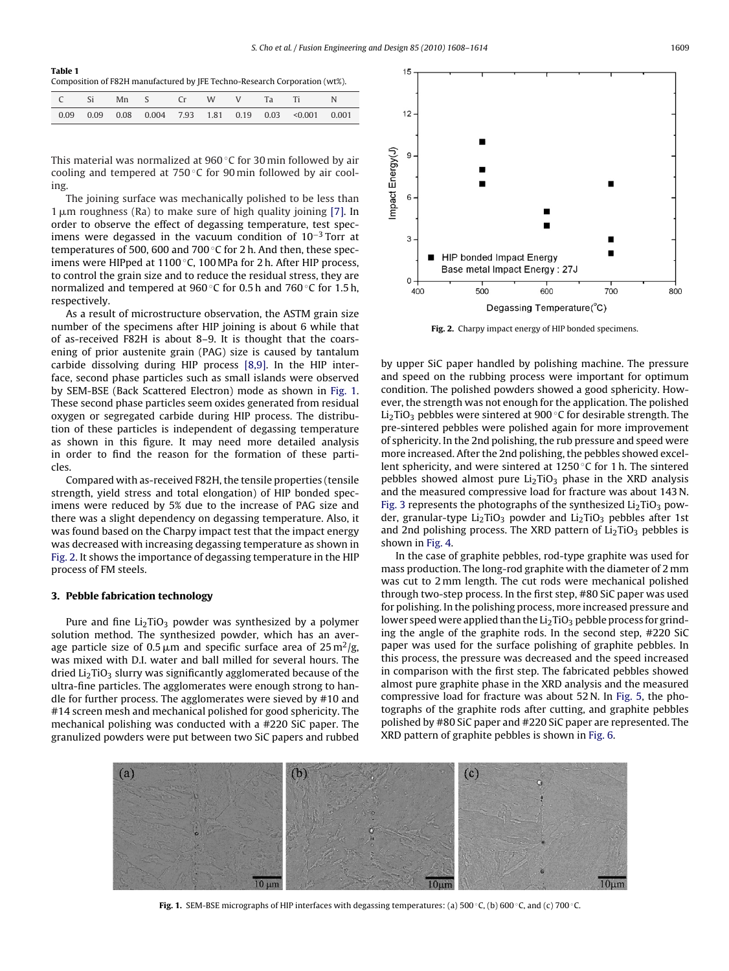<span id="page-1-0"></span>

| Table 1                                                                    |
|----------------------------------------------------------------------------|
| Composition of F82H manufactured by JFE Techno-Research Corporation (wt%). |

|  |  |  |  | C Si Mn S Cr W V Ta Ti N                                                   |  |
|--|--|--|--|----------------------------------------------------------------------------|--|
|  |  |  |  | $0.09$ $0.09$ $0.08$ $0.004$ $7.93$ $1.81$ $0.19$ $0.03$ < $0.001$ $0.001$ |  |

This material was normalized at 960 ◦C for 30 min followed by air cooling and tempered at 750 ◦C for 90 min followed by air cooling.

The joining surface was mechanically polished to be less than  $1 \mu$ m roughness (Ra) to make sure of high quality joining [\[7\]. I](#page--1-0)n order to observe the effect of degassing temperature, test specimens were degassed in the vacuum condition of  $10^{-3}$  Torr at temperatures of 500, 600 and 700 $\degree$ C for 2 h. And then, these specimens were HIPped at 1100 ◦C, 100 MPa for 2 h. After HIP process, to control the grain size and to reduce the residual stress, they are normalized and tempered at 960 ◦C for 0.5 h and 760 ◦C for 1.5 h, respectively.

As a result of microstructure observation, the ASTM grain size number of the specimens after HIP joining is about 6 while that of as-received F82H is about 8–9. It is thought that the coarsening of prior austenite grain (PAG) size is caused by tantalum carbide dissolving during HIP process [\[8,9\].](#page--1-0) In the HIP interface, second phase particles such as small islands were observed by SEM-BSE (Back Scattered Electron) mode as shown in Fig. 1. These second phase particles seem oxides generated from residual oxygen or segregated carbide during HIP process. The distribution of these particles is independent of degassing temperature as shown in this figure. It may need more detailed analysis in order to find the reason for the formation of these particles.

Compared with as-received F82H, the tensile properties (tensile strength, yield stress and total elongation) of HIP bonded specimens were reduced by 5% due to the increase of PAG size and there was a slight dependency on degassing temperature. Also, it was found based on the Charpy impact test that the impact energy was decreased with increasing degassing temperature as shown in Fig. 2. It shows the importance of degassing temperature in the HIP process of FM steels.

#### **3. Pebble fabrication technology**

Pure and fine  $Li<sub>2</sub>TiO<sub>3</sub>$  powder was synthesized by a polymer solution method. The synthesized powder, which has an average particle size of 0.5  $\mu$ m and specific surface area of 25 m<sup>2</sup>/g, was mixed with D.I. water and ball milled for several hours. The dried  $Li<sub>2</sub>TiO<sub>3</sub>$  slurry was significantly agglomerated because of the ultra-fine particles. The agglomerates were enough strong to handle for further process. The agglomerates were sieved by #10 and #14 screen mesh and mechanical polished for good sphericity. The mechanical polishing was conducted with a #220 SiC paper. The granulized powders were put between two SiC papers and rubbed



**Fig. 2.** Charpy impact energy of HIP bonded specimens.

by upper SiC paper handled by polishing machine. The pressure and speed on the rubbing process were important for optimum condition. The polished powders showed a good sphericity. However, the strength was not enough for the application. The polished Li<sub>2</sub>TiO<sub>3</sub> pebbles were sintered at 900 °C for desirable strength. The pre-sintered pebbles were polished again for more improvement of sphericity. In the 2nd polishing, the rub pressure and speed were more increased. After the 2nd polishing, the pebbles showed excellent sphericity, and were sintered at 1250 ◦C for 1 h. The sintered pebbles showed almost pure  $Li<sub>2</sub>TiO<sub>3</sub>$  phase in the XRD analysis and the measured compressive load for fracture was about 143 N. [Fig. 3](#page--1-0) represents the photographs of the synthesized  $Li<sub>2</sub>TiO<sub>3</sub>$  powder, granular-type  $Li<sub>2</sub>TiO<sub>3</sub>$  powder and  $Li<sub>2</sub>TiO<sub>3</sub>$  pebbles after 1st and 2nd polishing process. The XRD pattern of  $Li<sub>2</sub>TiO<sub>3</sub>$  pebbles is shown in [Fig. 4.](#page--1-0)

In the case of graphite pebbles, rod-type graphite was used for mass production. The long-rod graphite with the diameter of 2 mm was cut to 2 mm length. The cut rods were mechanical polished through two-step process. In the first step, #80 SiC paper was used for polishing. In the polishing process, more increased pressure and lower speed were applied than the  $Li<sub>2</sub>TiO<sub>3</sub>$  pebble process for grinding the angle of the graphite rods. In the second step, #220 SiC paper was used for the surface polishing of graphite pebbles. In this process, the pressure was decreased and the speed increased in comparison with the first step. The fabricated pebbles showed almost pure graphite phase in the XRD analysis and the measured compressive load for fracture was about 52 N. In [Fig. 5,](#page--1-0) the photographs of the graphite rods after cutting, and graphite pebbles polished by #80 SiC paper and #220 SiC paper are represented. The XRD pattern of graphite pebbles is shown in [Fig. 6.](#page--1-0)



**Fig. 1.** SEM-BSE micrographs of HIP interfaces with degassing temperatures: (a) 500 °C, (b) 600 °C, and (c) 700 °C.